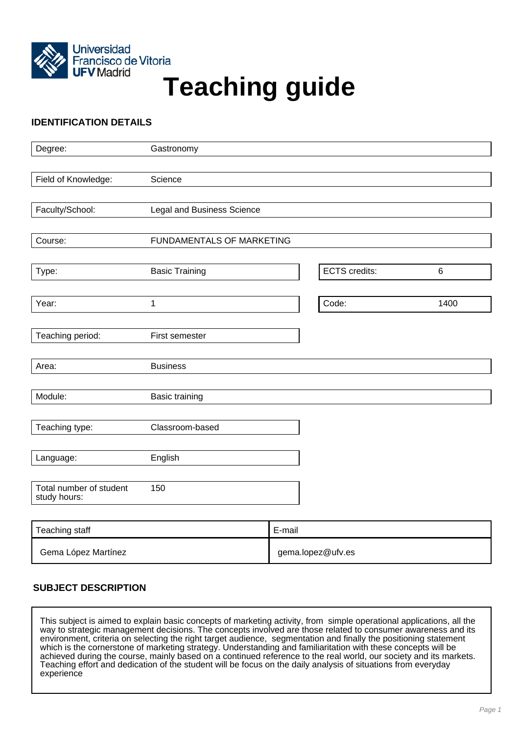

# Francisco de Vitoria<br>UFV Madrid<br>
Teaching guide

# **IDENTIFICATION DETAILS**

| Degree:                                 | Gastronomy                 |                      |       |
|-----------------------------------------|----------------------------|----------------------|-------|
|                                         |                            |                      |       |
| Field of Knowledge:                     | Science                    |                      |       |
|                                         |                            |                      |       |
| Faculty/School:                         | Legal and Business Science |                      |       |
|                                         |                            |                      |       |
| Course:                                 | FUNDAMENTALS OF MARKETING  |                      |       |
|                                         |                            |                      |       |
| Type:                                   | <b>Basic Training</b>      | <b>ECTS</b> credits: | $\,6$ |
| Year:                                   | 1                          | Code:                | 1400  |
|                                         |                            |                      |       |
| Teaching period:                        | First semester             |                      |       |
|                                         |                            |                      |       |
| Area:                                   | <b>Business</b>            |                      |       |
|                                         |                            |                      |       |
| Module:                                 | <b>Basic training</b>      |                      |       |
|                                         |                            |                      |       |
| Teaching type:                          | Classroom-based            |                      |       |
|                                         |                            |                      |       |
| Language:                               | English                    |                      |       |
|                                         |                            |                      |       |
| Total number of student<br>study hours: | 150                        |                      |       |
|                                         |                            |                      |       |
| Topobing otoff                          | $E_{\text{moll}}$          |                      |       |

| Teaching staff      | E-mail            |
|---------------------|-------------------|
| Gema López Martínez | gema.lopez@ufv.es |

# **SUBJECT DESCRIPTION**

This subject is aimed to explain basic concepts of marketing activity, from simple operational applications, all the way to strategic management decisions. The concepts involved are those related to consumer awareness and its environment, criteria on selecting the right target audience, segmentation and finally the positioning statement which is the cornerstone of marketing strategy. Understanding and familiaritation with these concepts will be achieved during the course, mainly based on a continued reference to the real world, our society and its markets. Teaching effort and dedication of the student will be focus on the daily analysis of situations from everyday experience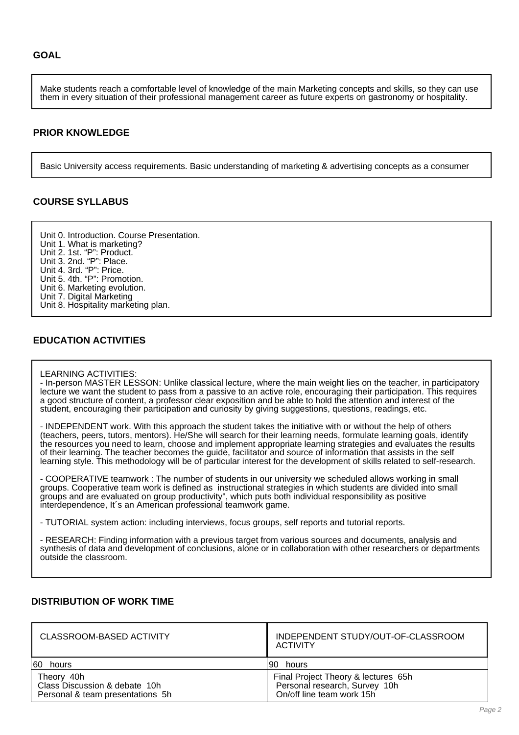Make students reach a comfortable level of knowledge of the main Marketing concepts and skills, so they can use them in every situation of their professional management career as future experts on gastronomy or hospitality.

#### **PRIOR KNOWLEDGE**

Basic University access requirements. Basic understanding of marketing & advertising concepts as a consumer

## **COURSE SYLLABUS**

Unit 0. Introduction. Course Presentation. Unit 1. What is marketing? Unit 2. 1st. "P": Product. Unit 3. 2nd. "P": Place. Unit 4. 3rd. "P": Price. Unit 5. 4th. "P": Promotion. Unit 6. Marketing evolution. Unit 7. Digital Marketing Unit 8. Hospitality marketing plan.

#### **EDUCATION ACTIVITIES**

#### LEARNING ACTIVITIES:

- In-person MASTER LESSON: Unlike classical lecture, where the main weight lies on the teacher, in participatory lecture we want the student to pass from a passive to an active role, encouraging their participation. This requires a good structure of content, a professor clear exposition and be able to hold the attention and interest of the student, encouraging their participation and curiosity by giving suggestions, questions, readings, etc.

- INDEPENDENT work. With this approach the student takes the initiative with or without the help of others (teachers, peers, tutors, mentors). He/She will search for their learning needs, formulate learning goals, identify the resources you need to learn, choose and implement appropriate learning strategies and evaluates the results of their learning. The teacher becomes the guide, facilitator and source of information that assists in the self learning style. This methodology will be of particular interest for the development of skills related to self-research.

- COOPERATIVE teamwork : The number of students in our university we scheduled allows working in small groups. Cooperative team work is defined as instructional strategies in which students are divided into small groups and are evaluated on group productivity", which puts both individual responsibility as positive interdependence, It´s an American professional teamwork game.

- TUTORIAL system action: including interviews, focus groups, self reports and tutorial reports.

- RESEARCH: Finding information with a previous target from various sources and documents, analysis and synthesis of data and development of conclusions, alone or in collaboration with other researchers or departments outside the classroom.

#### **DISTRIBUTION OF WORK TIME**

| CLASSROOM-BASED ACTIVITY                                                        | INDEPENDENT STUDY/OUT-OF-CLASSROOM<br>ACTIVITY                                                    |
|---------------------------------------------------------------------------------|---------------------------------------------------------------------------------------------------|
| 60 hours                                                                        | 190 hours                                                                                         |
| Theory 40h<br>Class Discussion & debate 10h<br>Personal & team presentations 5h | Final Project Theory & lectures 65h<br>Personal research, Survey 10h<br>On/off line team work 15h |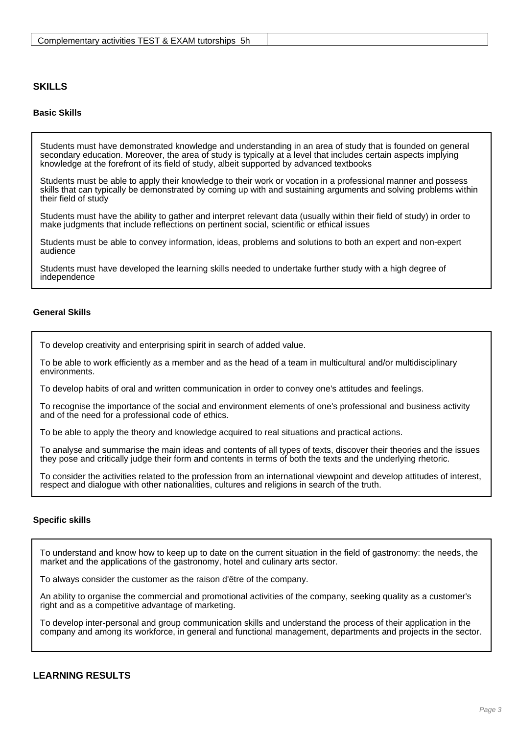### **SKILLS**

#### **Basic Skills**

Students must have demonstrated knowledge and understanding in an area of study that is founded on general secondary education. Moreover, the area of study is typically at a level that includes certain aspects implying knowledge at the forefront of its field of study, albeit supported by advanced textbooks

Students must be able to apply their knowledge to their work or vocation in a professional manner and possess skills that can typically be demonstrated by coming up with and sustaining arguments and solving problems within their field of study

Students must have the ability to gather and interpret relevant data (usually within their field of study) in order to make judgments that include reflections on pertinent social, scientific or ethical issues

Students must be able to convey information, ideas, problems and solutions to both an expert and non-expert audience

Students must have developed the learning skills needed to undertake further study with a high degree of independence

#### **General Skills**

To develop creativity and enterprising spirit in search of added value.

To be able to work efficiently as a member and as the head of a team in multicultural and/or multidisciplinary environments.

To develop habits of oral and written communication in order to convey one's attitudes and feelings.

To recognise the importance of the social and environment elements of one's professional and business activity and of the need for a professional code of ethics.

To be able to apply the theory and knowledge acquired to real situations and practical actions.

To analyse and summarise the main ideas and contents of all types of texts, discover their theories and the issues they pose and critically judge their form and contents in terms of both the texts and the underlying rhetoric.

To consider the activities related to the profession from an international viewpoint and develop attitudes of interest, respect and dialogue with other nationalities, cultures and religions in search of the truth.

#### **Specific skills**

To understand and know how to keep up to date on the current situation in the field of gastronomy: the needs, the market and the applications of the gastronomy, hotel and culinary arts sector.

To always consider the customer as the raison d'être of the company.

An ability to organise the commercial and promotional activities of the company, seeking quality as a customer's right and as a competitive advantage of marketing.

To develop inter-personal and group communication skills and understand the process of their application in the company and among its workforce, in general and functional management, departments and projects in the sector.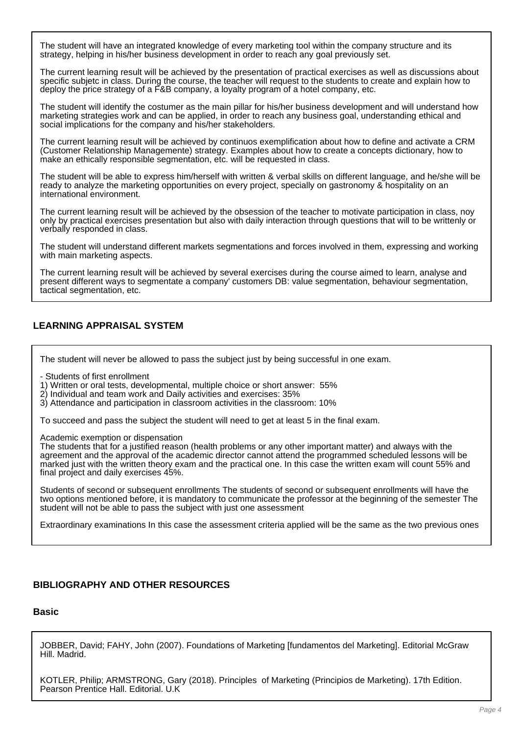The student will have an integrated knowledge of every marketing tool within the company structure and its strategy, helping in his/her business development in order to reach any goal previously set.

The current learning result will be achieved by the presentation of practical exercises as well as discussions about specific subjetc in class. During the course, the teacher will request to the students to create and explain how to deploy the price strategy of a F&B company, a loyalty program of a hotel company, etc.

The student will identify the costumer as the main pillar for his/her business development and will understand how marketing strategies work and can be applied, in order to reach any business goal, understanding ethical and social implications for the company and his/her stakeholders.

The current learning result will be achieved by continuos exemplification about how to define and activate a CRM (Customer Relationship Managemente) strategy. Examples about how to create a concepts dictionary, how to make an ethically responsible segmentation, etc. will be requested in class.

The student will be able to express him/herself with written & verbal skills on different language, and he/she will be ready to analyze the marketing opportunities on every project, specially on gastronomy & hospitality on an international environment.

The current learning result will be achieved by the obsession of the teacher to motivate participation in class, noy only by practical exercises presentation but also with daily interaction through questions that will to be writtenly or verbally responded in class.

The student will understand different markets segmentations and forces involved in them, expressing and working with main marketing aspects.

The current learning result will be achieved by several exercises during the course aimed to learn, analyse and present different ways to segmentate a company' customers DB: value segmentation, behaviour segmentation, tactical segmentation, etc.

## **LEARNING APPRAISAL SYSTEM**

The student will never be allowed to pass the subject just by being successful in one exam.

- Students of first enrollment

1) Written or oral tests, developmental, multiple choice or short answer: 55%

2) Individual and team work and Daily activities and exercises: 35%

3) Attendance and participation in classroom activities in the classroom: 10%

To succeed and pass the subject the student will need to get at least 5 in the final exam.

Academic exemption or dispensation

The students that for a justified reason (health problems or any other important matter) and always with the agreement and the approval of the academic director cannot attend the programmed scheduled lessons will be marked just with the written theory exam and the practical one. In this case the written exam will count 55% and final project and daily exercises 45%.

Students of second or subsequent enrollments The students of second or subsequent enrollments will have the two options mentioned before, it is mandatory to communicate the professor at the beginning of the semester The student will not be able to pass the subject with just one assessment

Extraordinary examinations In this case the assessment criteria applied will be the same as the two previous ones

## **BIBLIOGRAPHY AND OTHER RESOURCES**

#### **Basic**

JOBBER, David; FAHY, John (2007). Foundations of Marketing [fundamentos del Marketing]. Editorial McGraw Hill. Madrid.

KOTLER, Philip; ARMSTRONG, Gary (2018). Principles of Marketing (Principios de Marketing). 17th Edition. Pearson Prentice Hall. Editorial. U.K